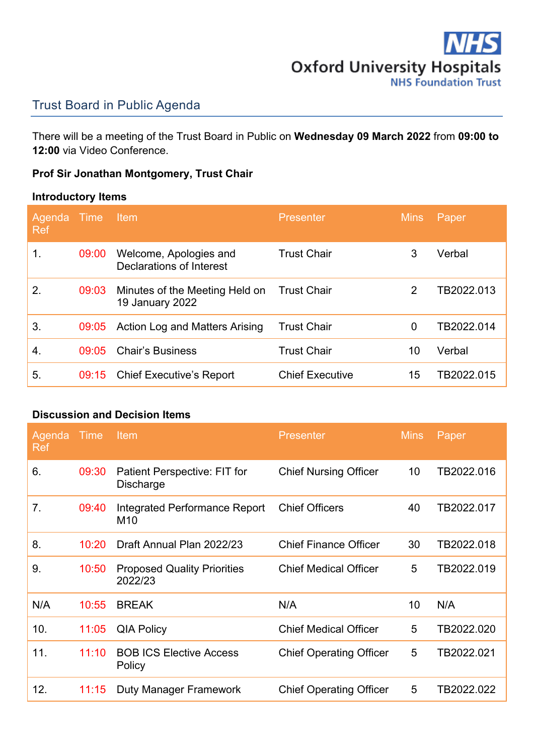

## Trust Board in Public Agenda

There will be a meeting of the Trust Board in Public on **Wednesday 09 March 2022** from **09:00 to 12:00** via Video Conference.

# **Prof Sir Jonathan Montgomery, Trust Chair**

### **Introductory Items**

| Agenda<br><b>Ref</b> | Time  | ltem.                                              | <b>Presenter</b>       | <b>Mins</b> | Paper      |
|----------------------|-------|----------------------------------------------------|------------------------|-------------|------------|
| 1.                   | 09:00 | Welcome, Apologies and<br>Declarations of Interest | <b>Trust Chair</b>     | 3           | Verbal     |
| 2.                   | 09:03 | Minutes of the Meeting Held on<br>19 January 2022  | <b>Trust Chair</b>     | 2           | TB2022.013 |
| 3.                   | 09:05 | Action Log and Matters Arising                     | <b>Trust Chair</b>     | 0           | TB2022.014 |
| 4.                   | 09:05 | <b>Chair's Business</b>                            | <b>Trust Chair</b>     | 10          | Verbal     |
| 5.                   | 09:15 | <b>Chief Executive's Report</b>                    | <b>Chief Executive</b> | 15          | TB2022.015 |

#### **Discussion and Decision Items**

| Agenda<br><b>Ref</b> | Time  | Item                                             | <b>Presenter</b>               | <b>Mins</b> | Paper      |
|----------------------|-------|--------------------------------------------------|--------------------------------|-------------|------------|
| 6.                   | 09:30 | Patient Perspective: FIT for<br><b>Discharge</b> | <b>Chief Nursing Officer</b>   | 10          | TB2022.016 |
| 7.                   | 09:40 | Integrated Performance Report<br>M <sub>10</sub> | <b>Chief Officers</b>          | 40          | TB2022.017 |
| 8.                   | 10:20 | Draft Annual Plan 2022/23                        | <b>Chief Finance Officer</b>   | 30          | TB2022.018 |
| 9.                   | 10:50 | <b>Proposed Quality Priorities</b><br>2022/23    | <b>Chief Medical Officer</b>   | 5           | TB2022.019 |
| N/A                  | 10:55 | <b>BREAK</b>                                     | N/A                            | 10          | N/A        |
| 10.                  | 11:05 | <b>QIA Policy</b>                                | <b>Chief Medical Officer</b>   | 5           | TB2022.020 |
| 11.                  | 11:10 | <b>BOB ICS Elective Access</b><br>Policy         | <b>Chief Operating Officer</b> | 5           | TB2022.021 |
| 12.                  | 11:15 | Duty Manager Framework                           | <b>Chief Operating Officer</b> | 5           | TB2022.022 |